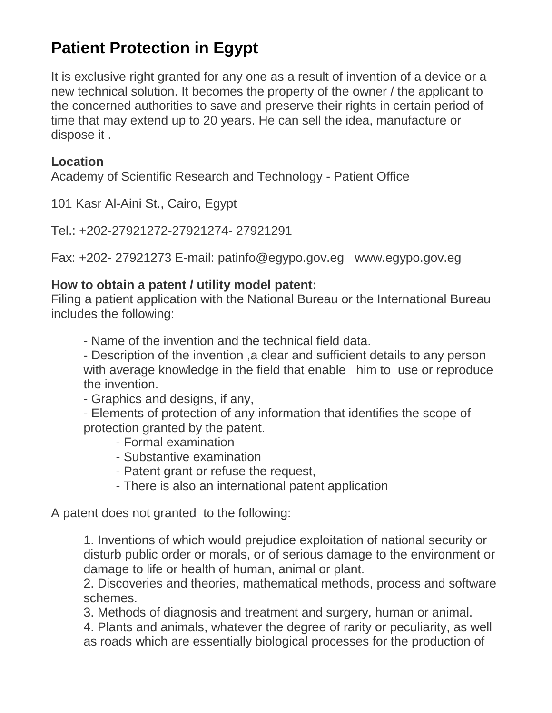## **Patient Protection in Egypt**

It is exclusive right granted for any one as a result of invention of a device or a new technical solution. It becomes the property of the owner / the applicant to the concerned authorities to save and preserve their rights in certain period of time that may extend up to 20 years. He can sell the idea, manufacture or dispose it .

## **Location**

Academy of Scientific Research and Technology - Patient Office

101 Kasr Al-Aini St., Cairo, Egypt

Tel.: +202-27921272-27921274- 27921291

Fax: +202- 27921273 E-mail: patinfo@egypo.gov.eg www.egypo.gov.eg

## **How to obtain a patent / utility model patent:**

Filing a patient application with the National Bureau or the International Bureau includes the following:

- Name of the invention and the technical field data.

- Description of the invention ,a clear and sufficient details to any person with average knowledge in the field that enable him to use or reproduce the invention.

- Graphics and designs, if any,

- Elements of protection of any information that identifies the scope of protection granted by the patent.

- Formal examination

- Substantive examination
- Patent grant or refuse the request,
- There is also an international patent application

A patent does not granted to the following:

1. Inventions of which would prejudice exploitation of national security or disturb public order or morals, or of serious damage to the environment or damage to life or health of human, animal or plant.

2. Discoveries and theories, mathematical methods, process and software schemes.

3. Methods of diagnosis and treatment and surgery, human or animal.

4. Plants and animals, whatever the degree of rarity or peculiarity, as well as roads which are essentially biological processes for the production of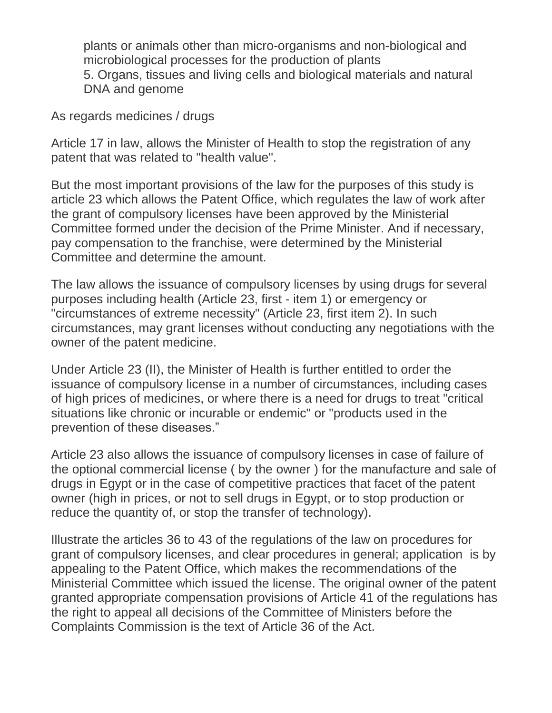plants or animals other than micro-organisms and non-biological and microbiological processes for the production of plants 5. Organs, tissues and living cells and biological materials and natural DNA and genome

As regards medicines / drugs

Article 17 in law, allows the Minister of Health to stop the registration of any patent that was related to "health value".

But the most important provisions of the law for the purposes of this study is article 23 which allows the Patent Office, which regulates the law of work after the grant of compulsory licenses have been approved by the Ministerial Committee formed under the decision of the Prime Minister. And if necessary, pay compensation to the franchise, were determined by the Ministerial Committee and determine the amount.

The law allows the issuance of compulsory licenses by using drugs for several purposes including health (Article 23, first - item 1) or emergency or "circumstances of extreme necessity" (Article 23, first item 2). In such circumstances, may grant licenses without conducting any negotiations with the owner of the patent medicine.

Under Article 23 (II), the Minister of Health is further entitled to order the issuance of compulsory license in a number of circumstances, including cases of high prices of medicines, or where there is a need for drugs to treat "critical situations like chronic or incurable or endemic" or "products used in the prevention of these diseases."

Article 23 also allows the issuance of compulsory licenses in case of failure of the optional commercial license ( by the owner ) for the manufacture and sale of drugs in Egypt or in the case of competitive practices that facet of the patent owner (high in prices, or not to sell drugs in Egypt, or to stop production or reduce the quantity of, or stop the transfer of technology).

Illustrate the articles 36 to 43 of the regulations of the law on procedures for grant of compulsory licenses, and clear procedures in general; application is by appealing to the Patent Office, which makes the recommendations of the Ministerial Committee which issued the license. The original owner of the patent granted appropriate compensation provisions of Article 41 of the regulations has the right to appeal all decisions of the Committee of Ministers before the Complaints Commission is the text of Article 36 of the Act.